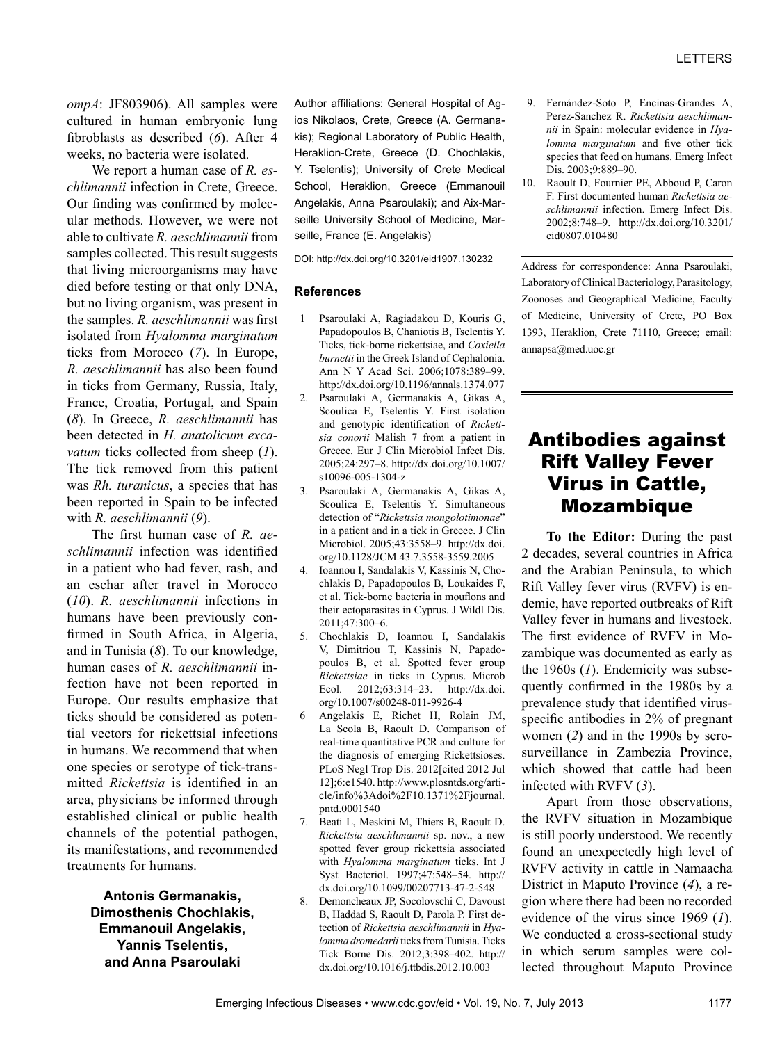*ompA*: JF803906). All samples were cultured in human embryonic lung fibroblasts as described (*6*). After 4 weeks, no bacteria were isolated.

We report a human case of *R. eschlimannii* infection in Crete, Greece. Our finding was confirmed by molecular methods. However, we were not able to cultivate *R. aeschlimannii* from samples collected. This result suggests that living microorganisms may have died before testing or that only DNA, but no living organism, was present in the samples. *R. aeschlimannii* was first isolated from *Hyalomma marginatum* ticks from Morocco (*7*). In Europe, *R. aeschlimannii* has also been found in ticks from Germany, Russia, Italy, France, Croatia, Portugal, and Spain (*8*). In Greece, *R. aeschlimannii* has been detected in *H. anatolicum excavatum* ticks collected from sheep (*1*). The tick removed from this patient was *Rh. turanicus*, a species that has been reported in Spain to be infected with *R. aeschlimannii* (*9*).

The first human case of *R. aeschlimannii* infection was identified in a patient who had fever, rash, and an eschar after travel in Morocco (*10*). *R. aeschlimannii* infections in humans have been previously confirmed in South Africa, in Algeria, and in Tunisia (*8*). To our knowledge, human cases of *R. aeschlimannii* infection have not been reported in Europe. Our results emphasize that ticks should be considered as potential vectors for rickettsial infections in humans. We recommend that when one species or serotype of tick-transmitted *Rickettsia* is identified in an area, physicians be informed through established clinical or public health channels of the potential pathogen, its manifestations, and recommended treatments for humans.

> **Antonis Germanakis, Dimosthenis Chochlakis, Emmanouil Angelakis, Yannis Tselentis, and Anna Psaroulaki**

Author affiliations: General Hospital of Agios Nikolaos, Crete, Greece (A. Germanakis); Regional Laboratory of Public Health, Heraklion-Crete, Greece (D. Chochlakis, Y. Tselentis); University of Crete Medical School, Heraklion, Greece (Emmanouil Angelakis, Anna Psaroulaki); and Aix-Marseille University School of Medicine, Marseille, France (E. Angelakis)

DOI: http://dx.doi.org/10.3201/eid1907.130232

### **References**

- 1 Psaroulaki A, Ragiadakou D, Kouris G, Papadopoulos B, Chaniotis B, Tselentis Y. Ticks, tick-borne rickettsiae, and *Coxiella burnetii* in the Greek Island of Cephalonia. Ann N Y Acad Sci. 2006;1078:389–99. http://dx.doi.org/10.1196/annals.1374.077
- 2. Psaroulaki A, Germanakis A, Gikas A, Scoulica E, Tselentis Y. First isolation and genotypic identification of *Rickettsia conorii* Malish 7 from a patient in Greece. Eur J Clin Microbiol Infect Dis. 2005;24:297–8. http://dx.doi.org/10.1007/ s10096-005-1304-z
- 3. Psaroulaki A, Germanakis A, Gikas A, Scoulica E, Tselentis Y. Simultaneous detection of "*Rickettsia mongolotimonae*" in a patient and in a tick in Greece. J Clin Microbiol. 2005;43:3558–9. http://dx.doi. org/10.1128/JCM.43.7.3558-3559.2005
- 4. Ioannou I, Sandalakis V, Kassinis N, Chochlakis D, Papadopoulos B, Loukaides F, et al. Tick-borne bacteria in mouflons and their ectoparasites in Cyprus. J Wildl Dis. 2011;47:300–6.
- 5. Chochlakis D, Ioannou I, Sandalakis V, Dimitriou T, Kassinis N, Papadopoulos B, et al. Spotted fever group *Rickettsiae* in ticks in Cyprus. Microb Ecol. 2012;63:314–23. http://dx.doi. org/10.1007/s00248-011-9926-4
- 6 Angelakis E, Richet H, Rolain JM, La Scola B, Raoult D. Comparison of real-time quantitative PCR and culture for the diagnosis of emerging Rickettsioses. PLoS Negl Trop Dis. 2012[cited 2012 Jul 12];6:e1540. http://www.plosntds.org/article/info%3Adoi%2F10.1371%2Fjournal. pntd.0001540
- 7. Beati L, Meskini M, Thiers B, Raoult D. *Rickettsia aeschlimannii* sp. nov., a new spotted fever group rickettsia associated with *Hyalomma marginatum* ticks. Int J Syst Bacteriol. 1997;47:548–54. http:// dx.doi.org/10.1099/00207713-47-2-548
- 8. Demoncheaux JP, Socolovschi C, Davoust B, Haddad S, Raoult D, Parola P. First detection of *Rickettsia aeschlimannii* in *Hyalomma dromedarii* ticks from Tunisia. Ticks Tick Borne Dis. 2012;3:398–402. http:// dx.doi.org/10.1016/j.ttbdis.2012.10.003
- 9. Fernández-Soto P, Encinas-Grandes A, Perez-Sanchez R. *Rickettsia aeschlimannii* in Spain: molecular evidence in *Hyalomma marginatum* and five other tick species that feed on humans. Emerg Infect Dis. 2003;9:889–90.
- 10. Raoult D, Fournier PE, Abboud P, Caron F. First documented human *Rickettsia aeschlimannii* infection. Emerg Infect Dis. 2002;8:748–9. http://dx.doi.org/10.3201/ eid0807.010480

Address for correspondence: Anna Psaroulaki, Laboratory of Clinical Bacteriology, Parasitology, Zoonoses and Geographical Medicine, Faculty of Medicine, University of Crete, PO Box 1393, Heraklion, Crete 71110, Greece; email: annapsa@med.uoc.gr

# Antibodies against Rift Valley Fever Virus in Cattle, Mozambique

**To the Editor:** During the past 2 decades, several countries in Africa and the Arabian Peninsula, to which Rift Valley fever virus (RVFV) is endemic, have reported outbreaks of Rift Valley fever in humans and livestock. The first evidence of RVFV in Mozambique was documented as early as the 1960s (*1*). Endemicity was subsequently confirmed in the 1980s by a prevalence study that identified virusspecific antibodies in 2% of pregnant women (*2*) and in the 1990s by serosurveillance in Zambezia Province, which showed that cattle had been infected with RVFV (*3*).

Apart from those observations, the RVFV situation in Mozambique is still poorly understood. We recently found an unexpectedly high level of RVFV activity in cattle in Namaacha District in Maputo Province (*4*), a region where there had been no recorded evidence of the virus since 1969 (*1*). We conducted a cross-sectional study in which serum samples were collected throughout Maputo Province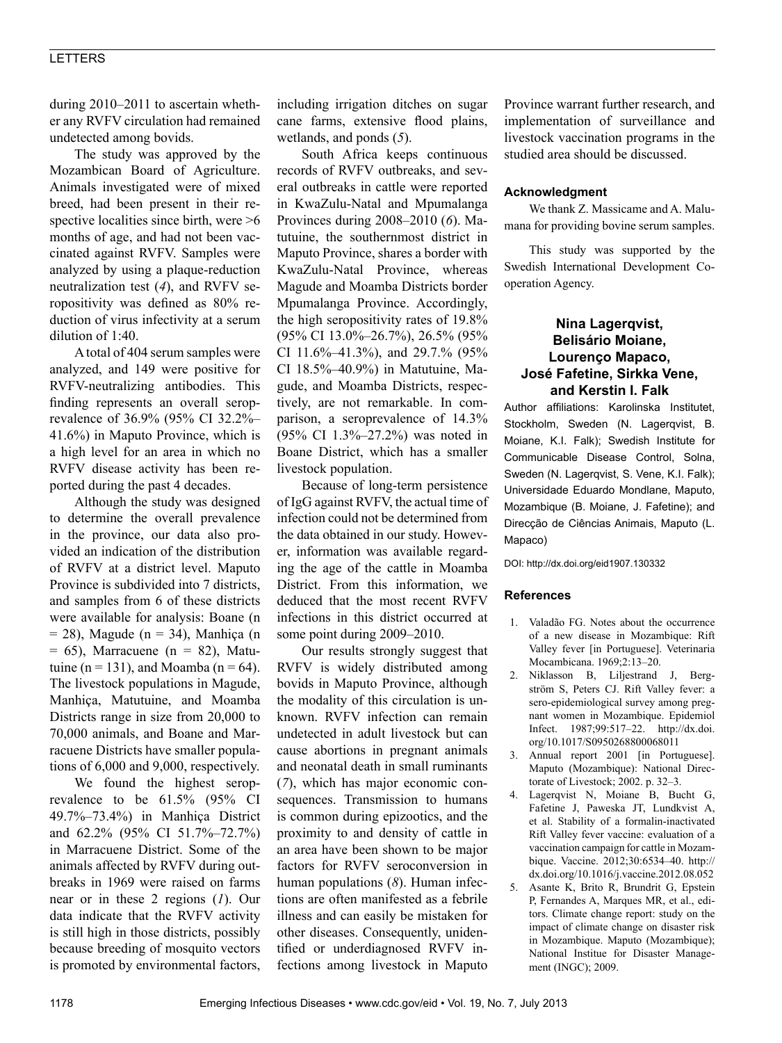## LETTERS

during 2010–2011 to ascertain whether any RVFV circulation had remained undetected among bovids.

The study was approved by the Mozambican Board of Agriculture. Animals investigated were of mixed breed, had been present in their respective localities since birth, were >6 months of age, and had not been vaccinated against RVFV. Samples were analyzed by using a plaque-reduction neutralization test (*4*), and RVFV seropositivity was defined as 80% reduction of virus infectivity at a serum dilution of 1:40.

A total of 404 serum samples were analyzed, and 149 were positive for RVFV-neutralizing antibodies. This finding represents an overall seroprevalence of 36.9% (95% CI 32.2%– 41.6%) in Maputo Province, which is a high level for an area in which no RVFV disease activity has been reported during the past 4 decades.

Although the study was designed to determine the overall prevalence in the province, our data also provided an indication of the distribution of RVFV at a district level. Maputo Province is subdivided into 7 districts, and samples from 6 of these districts were available for analysis: Boane (n  $= 28$ ), Magude (n  $= 34$ ), Manhiça (n  $= 65$ ), Marracuene (n  $= 82$ ), Matutuine (n = 131), and Moamba (n = 64). The livestock populations in Magude, Manhiça, Matutuine, and Moamba Districts range in size from 20,000 to 70,000 animals, and Boane and Marracuene Districts have smaller populations of 6,000 and 9,000, respectively.

We found the highest seroprevalence to be 61.5% (95% CI 49.7%–73.4%) in Manhiça District and 62.2% (95% CI 51.7%–72.7%) in Marracuene District. Some of the animals affected by RVFV during outbreaks in 1969 were raised on farms near or in these 2 regions (*1*). Our data indicate that the RVFV activity is still high in those districts, possibly because breeding of mosquito vectors is promoted by environmental factors, including irrigation ditches on sugar cane farms, extensive flood plains, wetlands, and ponds (*5*).

South Africa keeps continuous records of RVFV outbreaks, and several outbreaks in cattle were reported in KwaZulu-Natal and Mpumalanga Provinces during 2008–2010 (*6*). Matutuine, the southernmost district in Maputo Province, shares a border with KwaZulu-Natal Province, whereas Magude and Moamba Districts border Mpumalanga Province. Accordingly, the high seropositivity rates of 19.8% (95% CI 13.0%–26.7%), 26.5% (95% CI 11.6%–41.3%), and 29.7.% (95% CI 18.5%–40.9%) in Matutuine, Magude, and Moamba Districts, respectively, are not remarkable. In comparison, a seroprevalence of 14.3% (95% CI 1.3%–27.2%) was noted in Boane District, which has a smaller livestock population.

Because of long-term persistence of IgG against RVFV, the actual time of infection could not be determined from the data obtained in our study. However, information was available regarding the age of the cattle in Moamba District. From this information, we deduced that the most recent RVFV infections in this district occurred at some point during 2009–2010.

Our results strongly suggest that RVFV is widely distributed among bovids in Maputo Province, although the modality of this circulation is unknown. RVFV infection can remain undetected in adult livestock but can cause abortions in pregnant animals and neonatal death in small ruminants (*7*), which has major economic consequences. Transmission to humans is common during epizootics, and the proximity to and density of cattle in an area have been shown to be major factors for RVFV seroconversion in human populations (*8*). Human infections are often manifested as a febrile illness and can easily be mistaken for other diseases. Consequently, unidentified or underdiagnosed RVFV infections among livestock in Maputo

Province warrant further research, and implementation of surveillance and livestock vaccination programs in the studied area should be discussed.

#### **Acknowledgment**

We thank Z. Massicame and A. Malumana for providing bovine serum samples.

This study was supported by the Swedish International Development Cooperation Agency.

### **Nina Lagerqvist, Belisário Moiane, Lourenço Mapaco, José Fafetine, Sirkka Vene, and Kerstin I. Falk**

Author affiliations: Karolinska Institutet, Stockholm, Sweden (N. Lagerqvist, B. Moiane, K.I. Falk); Swedish Institute for Communicable Disease Control, Solna, Sweden (N. Lagerqvist, S. Vene, K.I. Falk); Universidade Eduardo Mondlane, Maputo, Mozambique (B. Moiane, J. Fafetine); and Direcção de Ciências Animais, Maputo (L. Mapaco)

DOI: http://dx.doi.org/eid1907.130332

#### **References**

- 1. Valadão FG. Notes about the occurrence of a new disease in Mozambique: Rift Valley fever [in Portuguese]. Veterinaria Mocambicana. 1969;2:13–20.
- 2. Niklasson B, Liljestrand J, Bergström S, Peters CJ. Rift Valley fever: a sero-epidemiological survey among pregnant women in Mozambique. Epidemiol Infect. 1987;99:517–22. http://dx.doi. org/10.1017/S0950268800068011
- 3. Annual report 2001 [in Portuguese]. Maputo (Mozambique): National Directorate of Livestock; 2002. p. 32–3.
- 4. Lagerqvist N, Moiane B, Bucht G, Fafetine J, Paweska JT, Lundkvist A, et al. Stability of a formalin-inactivated Rift Valley fever vaccine: evaluation of a vaccination campaign for cattle in Mozambique. Vaccine. 2012;30:6534–40. http:// dx.doi.org/10.1016/j.vaccine.2012.08.052
- 5. Asante K, Brito R, Brundrit G, Epstein P, Fernandes A, Marques MR, et al., editors. Climate change report: study on the impact of climate change on disaster risk in Mozambique. Maputo (Mozambique); National Institue for Disaster Management (INGC); 2009.